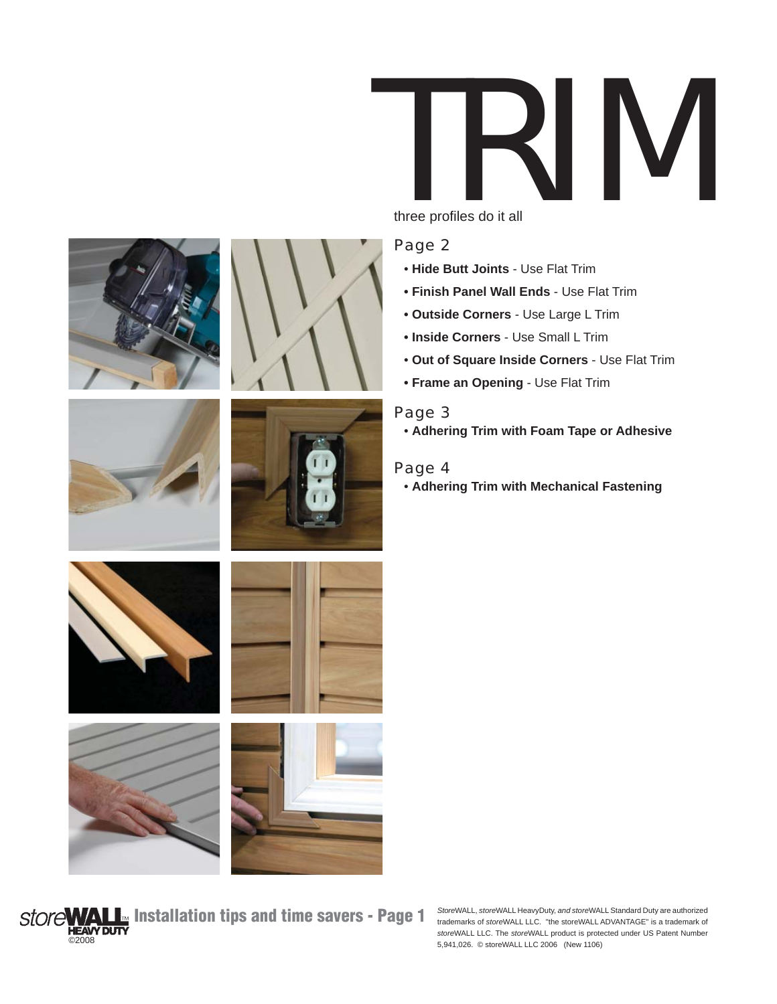















**Store WALL** Installation tips and time savers - Page 1 ©2008

*Store*WALL, *store*WALL HeavyDuty, *and store*WALL Standard Duty are authorized trademarks of *store*WALL LLC. "the storeWALL ADVANTAGE" is a trademark of *store*WALL LLC. The *store*WALL product is protected under US Patent Number 5,941,026. © storeWALL LLC 2006 (New 1106)



three profiles do it all

### Page 2

- • **Hide Butt Joints** Use Flat Trim
- **Finish Panel Wall Ends** Use Flat Trim
- **Outside Corners** Use Large L Trim
- **Inside Corners** Use Small L Trim
- **Out of Square Inside Corners** Use Flat Trim
- **Frame an Opening** Use Flat Trim

#### Page 3

• **Adhering Trim with Foam Tape or Adhesive**

#### Page 4

• **Adhering Trim with Mechanical Fastening**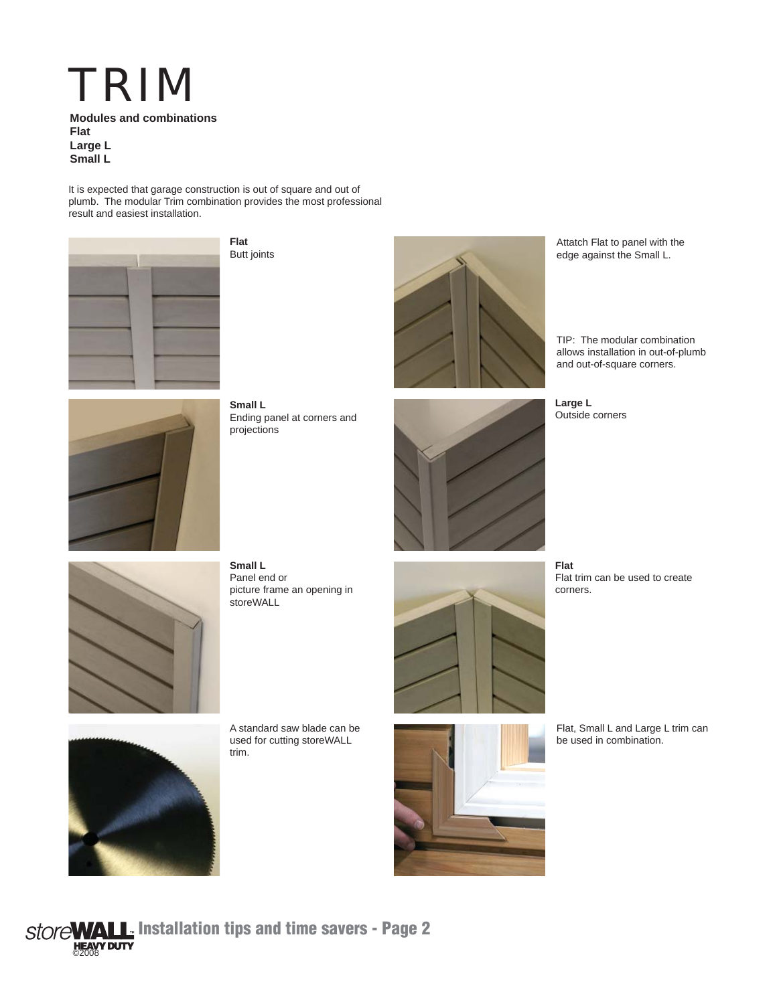# TRIM **Modules and combinations**

**Flat Large L Small L**

It is expected that garage construction is out of square and out of plumb. The modular Trim combination provides the most professional result and easiest installation.



**Flat** Butt joints



Attatch Flat to panel with the edge against the Small L.

TIP: The modular combination allows installation in out-of-plumb and out-of-square corners.



**Small L** Ending panel at corners and projections



**Large L** Outside corners



**Small L** Panel end or picture frame an opening in storeWALL





A standard saw blade can be used for cutting storeWALL trim.



**Flat** Flat trim can be used to create corners.



Flat, Small L and Large L trim can be used in combination.

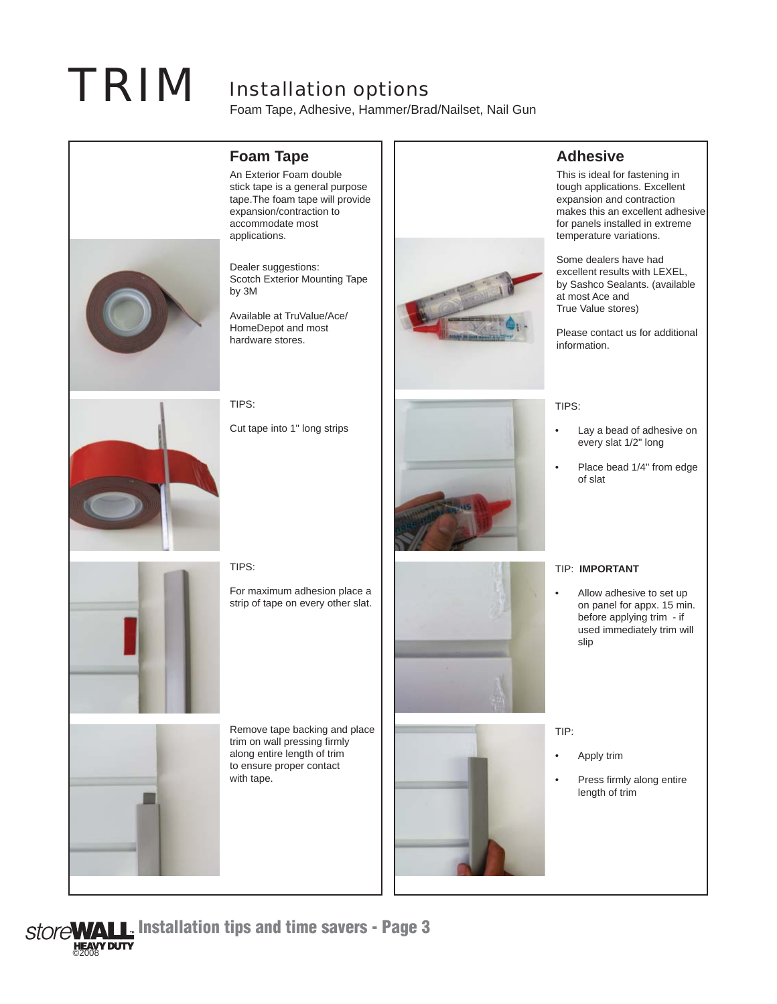# **TRIM** Installation options

Foam Tape, Adhesive, Hammer/Brad/Nailset, Nail Gun



## **Foam Tape**

An Exterior Foam double stick tape is a general purpose tape.The foam tape will provide expansion/contraction to accommodate most applications.

Dealer suggestions: Scotch Exterior Mounting Tape by 3M

Available at TruValue/Ace/ HomeDepot and most hardware stores.



## **Adhesive**

This is ideal for fastening in tough applications. Excellent expansion and contraction makes this an excellent adhesive for panels installed in extreme temperature variations.

Some dealers have had excellent results with LEXEL, by Sashco Sealants. (available at most Ace and True Value stores)

Please contact us for additional information.

TIPS:

Cut tape into 1" long strips



TIPS:

- Lay a bead of adhesive on every slat 1/2" long
- Place bead 1/4" from edge of slat



TIPS:

For maximum adhesion place a strip of tape on every other slat.







#### TIP: **IMPORTANT**

• Allow adhesive to set up on panel for appx. 15 min. before applying trim - if used immediately trim will slip

TIP:

- Apply trim
- Press firmly along entire length of trim